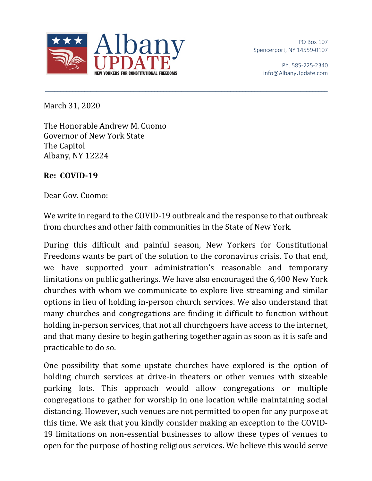

PO Box 107 Spencerport, NY 14559-0107

> Ph. 585-225-2340 info@AlbanyUpdate.com

March 31, 2020

The Honorable Andrew M. Cuomo Governor of New York State The Capitol Albany, NY 12224

## **Re: COVID-19**

Dear Gov. Cuomo:

We write in regard to the COVID-19 outbreak and the response to that outbreak from churches and other faith communities in the State of New York.

During this difficult and painful season, New Yorkers for Constitutional Freedoms wants be part of the solution to the coronavirus crisis. To that end, we have supported your administration's reasonable and temporary limitations on public gatherings. We have also encouraged the 6,400 New York churches with whom we communicate to explore live streaming and similar options in lieu of holding in-person church services. We also understand that many churches and congregations are finding it difficult to function without holding in-person services, that not all churchgoers have access to the internet, and that many desire to begin gathering together again as soon as it is safe and practicable to do so.

One possibility that some upstate churches have explored is the option of holding church services at drive-in theaters or other venues with sizeable parking lots. This approach would allow congregations or multiple congregations to gather for worship in one location while maintaining social distancing. However, such venues are not permitted to open for any purpose at this time. We ask that you kindly consider making an exception to the COVID-19 limitations on non-essential businesses to allow these types of venues to open for the purpose of hosting religious services. We believe this would serve